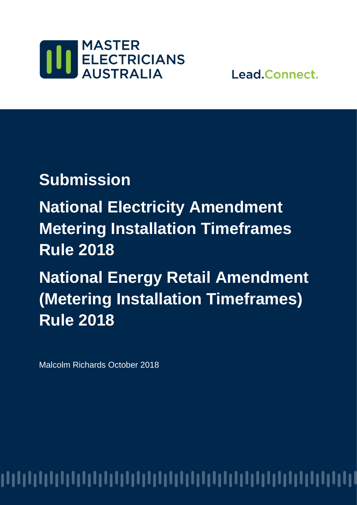

Lead.Connect.

## **Submission**

**National Electricity Amendment Metering Installation Timeframes Rule 2018** 

**National Energy Retail Amendment (Metering Installation Timeframes) Rule 2018** 

Malcolm Richards October 2018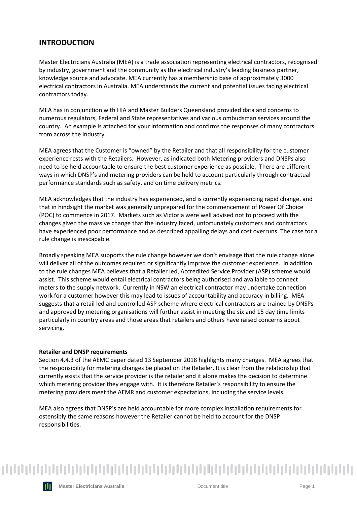### **INTRODUCTION**

Master Electricians Australia (MEA) is a trade association representing electrical contractors, recognised by industry, government and the community as the electrical industry's leading business partner, knowledge source and advocate. MEA currently has a membership base of approximately 3000 electrical contractors in Australia. MEA understands the current and potential issues facing electrical contractors today.

MEA has in conjunction with HIA and Master Builders Queensland provided data and concerns to numerous regulators, Federal and State representatives and various ombudsman services around the country. An example is attached for your information and confirms the responses of many contractors from across the industry.

MEA agrees that the Customer is "owned" by the Retailer and that all responsibility for the customer experience rests with the Retailers. However, as indicated both Metering providers and DNSPs also need to be held accountable to ensure the best customer experience as possible. There are different ways in which DNSP's and metering providers can be held to account particularly through contractual performance standards such as safety, and on time delivery metrics.

MEA acknowledges that the industry has experienced, and is currently experiencing rapid change, and that in hindsight the market was generally unprepared for the commencement of Power Of Choice (POC) to commence in 2017. Markets such as Victoria were well advised not to proceed with the changes given the massive change that the industry faced, unfortunately customers and contractors have experienced poor performance and as described appalling delays and cost overruns. The case for a rule change is inescapable.

Broadly speaking MEA supports the rule change however we don't envisage that the rule change alone will deliver all of the outcomes required or significantly improve the customer experience. In addition to the rule changes MEA believes that a Retailer led, Accredited Service Provider (ASP) scheme would assist. This scheme would entail electrical contractors being authorised and available to connect meters to the supply network. Currently in NSW an electrical contractor may undertake connection work for a customer however this may lead to issues of accountability and accuracy in billing. MEA suggests that a retail led and controlled ASP scheme where electrical contractors are trained by DNSPs and approved by metering organisations will further assist in meeting the six and 15 day time limits particularly in country areas and those areas that retailers and others have raised concerns about servicing.

#### **Retailer and DNSP requirements**

Section 4.4.3 of the AEMC paper dated 13 September 2018 highlights many changes. MEA agrees that the responsibility for metering changes be placed on the Retailer. It is clear from the relationship that currently exists that the service provider is the retailer and it alone makes the decision to determine which metering provider they engage with. It is therefore Retailer's responsibility to ensure the metering providers meet the AEMR and customer expectations, including the service levels.

MEA also agrees that DNSP's are held accountable for more complex installation requirements for ostensibly the same reasons however the Retailer cannot be held to account for the DNSP responsibilities.

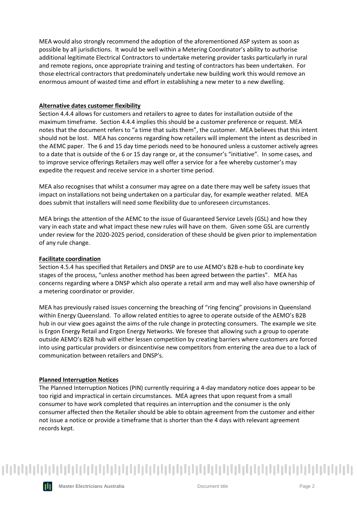MEA would also strongly recommend the adoption of the aforementioned ASP system as soon as possible by all jurisdictions. It would be well within a Metering Coordinator's ability to authorise additional legitimate Electrical Contractors to undertake metering provider tasks particularly in rural and remote regions, once appropriate training and testing of contractors has been undertaken. For those electrical contractors that predominately undertake new building work this would remove an enormous amount of wasted time and effort in establishing a new meter to a new dwelling.

#### **Alternative dates customer flexibility**

Section 4.4.4 allows for customers and retailers to agree to dates for installation outside of the maximum timeframe. Section 4.4.4 implies this should be a customer preference or request. MEA notes that the document refers to "a time that suits them", the customer. MEA believes that this intent should not be lost. MEA has concerns regarding how retailers will implement the intent as described in the AEMC paper. The 6 and 15 day time periods need to be honoured unless a customer actively agrees to a date that is outside of the 6 or 15 day range or, at the consumer's "initiative". In some cases, and to improve service offerings Retailers may well offer a service for a fee whereby customer's may expedite the request and receive service in a shorter time period.

MEA also recognises that whilst a consumer may agree on a date there may well be safety issues that impact on installations not being undertaken on a particular day, for example weather related. MEA does submit that installers will need some flexibility due to unforeseen circumstances.

MEA brings the attention of the AEMC to the issue of Guaranteed Service Levels (GSL) and how they vary in each state and what impact these new rules will have on them. Given some GSL are currently under review for the 2020-2025 period, consideration of these should be given prior to implementation of any rule change.

#### **Facilitate coordination**

Section 4.5.4 has specified that Retailers and DNSP are to use AEMO's B2B e-hub to coordinate key stages of the process, "unless another method has been agreed between the parties". MEA has concerns regarding where a DNSP which also operate a retail arm and may well also have ownership of a metering coordinator or provider.

MEA has previously raised issues concerning the breaching of "ring fencing" provisions in Queensland within Energy Queensland. To allow related entities to agree to operate outside of the AEMO's B2B hub in our view goes against the aims of the rule change in protecting consumers. The example we site is Ergon Energy Retail and Ergon Energy Networks. We foresee that allowing such a group to operate outside AEMO's B2B hub will either lessen competition by creating barriers where customers are forced into using particular providers or disincentivise new competitors from entering the area due to a lack of communication between retailers and DNSP's.

#### **Planned Interruption Notices**

The Planned Interruption Notices (PIN) currently requiring a 4-day mandatory notice does appear to be too rigid and impractical in certain circumstances. MEA agrees that upon request from a small consumer to have work completed that requires an interruption and the consumer is the only consumer affected then the Retailer should be able to obtain agreement from the customer and either not issue a notice or provide a timeframe that is shorter than the 4 days with relevant agreement records kept.

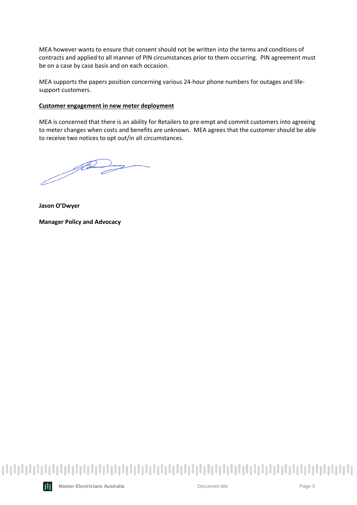MEA however wants to ensure that consent should not be written into the terms and conditions of contracts and applied to all manner of PIN circumstances prior to them occurring. PIN agreement must be on a case by case basis and on each occasion.

MEA supports the papers position concerning various 24-hour phone numbers for outages and lifesupport customers.

#### **Customer engagement in new meter deployment**

MEA is concerned that there is an ability for Retailers to pre-empt and commit customers into agreeing to meter changes when costs and benefits are unknown. MEA agrees that the customer should be able to receive two notices to opt out/in all circumstances.

*Jo* 

**Jason O'Dwyer**

**Manager Policy and Advocacy**



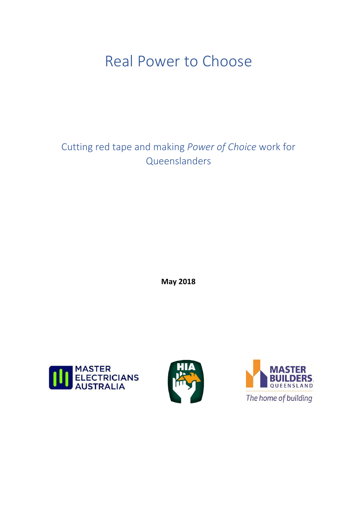## Real Power to Choose

Cutting red tape and making *Power of Choice* work for Queenslanders

**May 2018**





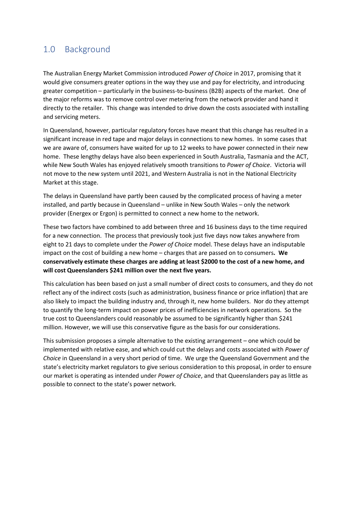## 1.0 Background

The Australian Energy Market Commission introduced *Power of Choice* in 2017, promising that it would give consumers greater options in the way they use and pay for electricity, and introducing greater competition – particularly in the business-to-business (B2B) aspects of the market. One of the major reforms was to remove control over metering from the network provider and hand it directly to the retailer. This change was intended to drive down the costs associated with installing and servicing meters.

In Queensland, however, particular regulatory forces have meant that this change has resulted in a significant increase in red tape and major delays in connections to new homes. In some cases that we are aware of, consumers have waited for up to 12 weeks to have power connected in their new home. These lengthy delays have also been experienced in South Australia, Tasmania and the ACT, while New South Wales has enjoyed relatively smooth transitions to *Power of Choice*. Victoria will not move to the new system until 2021, and Western Australia is not in the National Electricity Market at this stage.

The delays in Queensland have partly been caused by the complicated process of having a meter installed, and partly because in Queensland – unlike in New South Wales – only the network provider (Energex or Ergon) is permitted to connect a new home to the network.

These two factors have combined to add between three and 16 business days to the time required for a new connection. The process that previously took just five days now takes anywhere from eight to 21 days to complete under the *Power of Choice* model. These delays have an indisputable impact on the cost of building a new home – charges that are passed on to consumers**. We conservatively estimate these charges are adding at least \$2000 to the cost of a new home, and will cost Queenslanders \$241 million over the next five years.**

This calculation has been based on just a small number of direct costs to consumers, and they do not reflect any of the indirect costs (such as administration, business finance or price inflation) that are also likely to impact the building industry and, through it, new home builders. Nor do they attempt to quantify the long-term impact on power prices of inefficiencies in network operations. So the true cost to Queenslanders could reasonably be assumed to be significantly higher than \$241 million. However, we will use this conservative figure as the basis for our considerations.

This submission proposes a simple alternative to the existing arrangement – one which could be implemented with relative ease, and which could cut the delays and costs associated with *Power of Choice* in Queensland in a very short period of time. We urge the Queensland Government and the state's electricity market regulators to give serious consideration to this proposal, in order to ensure our market is operating as intended under *Power of Choice*, and that Queenslanders pay as little as possible to connect to the state's power network.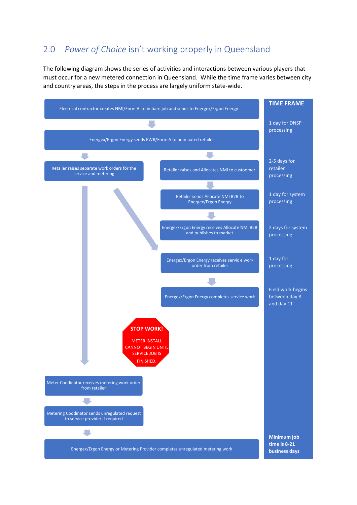## 2.0 *Power of Choice* isn't working properly in Queensland

The following diagram shows the series of activities and interactions between various players that must occur for a new metered connection in Queensland. While the time frame varies between city and country areas, the steps in the process are largely uniform state-wide.

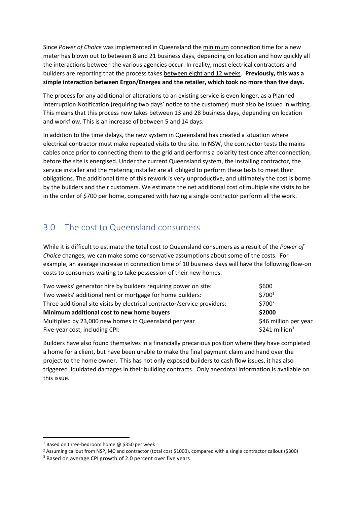Since *Power of Choice* was implemented in Queensland the minimum connection time for a new meter has blown out to between 8 and 21 business days, depending on location and how quickly all the interactions between the various agencies occur. In reality, most electrical contractors and builders are reporting that the process takes between eight and 12 weeks. **Previously, this was a simple interaction between Ergon/Energex and the retailer, which took no more than five days.**

The process for any additional or alterations to an existing service is even longer, as a Planned Interruption Notification (requiring two days' notice to the customer) must also be issued in writing. This means that this process now takes between 13 and 28 business days, depending on location and workflow. This is an increase of between 5 and 14 days.

In addition to the time delays, the new system in Queensland has created a situation where electrical contractor must make repeated visits to the site. In NSW, the contractor tests the mains cables once prior to connecting them to the grid and performs a polarity test once after connection, before the site is energised. Under the current Queensland system, the installing contractor, the service installer and the metering installer are all obliged to perform these tests to meet their obligations. The additional time of this rework is very unproductive, and ultimately the cost is borne by the builders and their customers. We estimate the net additional cost of multiple site visits to be in the order of \$700 per home, compared with having a single contractor perform all the work.

## 3.0 The cost to Queensland consumers

While it is difficult to estimate the total cost to Queensland consumers as a result of the *Power of Choice* changes, we can make some conservative assumptions about some of the costs. For example, an average increase in connection time of 10 business days will have the following flow-on costs to consumers waiting to take possession of their new homes.

| Two weeks' generator hire by builders requiring power on site:           | \$600                       |
|--------------------------------------------------------------------------|-----------------------------|
| Two weeks' additional rent or mortgage for home builders:                | \$700 <sup>1</sup>          |
| Three additional site visits by electrical contractor/service providers: | \$700 <sup>2</sup>          |
| Minimum additional cost to new home buyers                               | \$2000                      |
| Multiplied by 23,000 new homes in Queensland per year                    | \$46 million per year       |
| Five-year cost, including CPI:                                           | $$241$ million <sup>3</sup> |

Builders have also found themselves in a financially precarious position where they have completed a home for a client, but have been unable to make the final payment claim and hand over the project to the home owner. This has not only exposed builders to cash flow issues, it has also triggered liquidated damages in their building contracts. Only anecdotal information is available on this issue.

 $1$  Based on three-bedroom home  $\omega$  \$350 per week

<sup>2</sup> Assuming callout from NSP, MC and contractor (total cost \$1000), compared with a single contractor callout (\$300)

<sup>&</sup>lt;sup>3</sup> Based on average CPI growth of 2.0 percent over five years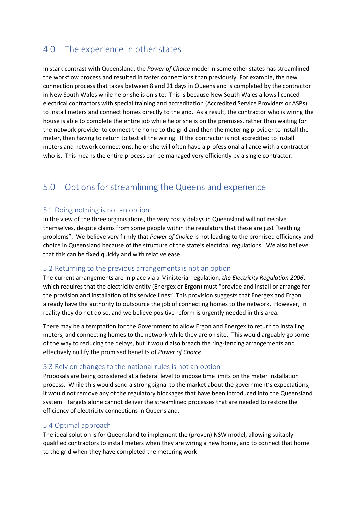## 4.0 The experience in other states

In stark contrast with Queensland, the *Power of Choice* model in some other states has streamlined the workflow process and resulted in faster connections than previously. For example, the new connection process that takes between 8 and 21 days in Queensland is completed by the contractor in New South Wales while he or she is on site. This is because New South Wales allows licenced electrical contractors with special training and accreditation (Accredited Service Providers or ASPs) to install meters and connect homes directly to the grid. As a result, the contractor who is wiring the house is able to complete the entire job while he or she is on the premises, rather than waiting for the network provider to connect the home to the grid and then the metering provider to install the meter, then having to return to test all the wiring. If the contractor is not accredited to install meters and network connections, he or she will often have a professional alliance with a contractor who is. This means the entire process can be managed very efficiently by a single contractor.

## 5.0 Options for streamlining the Queensland experience

### 5.1 Doing nothing is not an option

In the view of the three organisations, the very costly delays in Queensland will not resolve themselves, despite claims from some people within the regulators that these are just "teething problems". We believe very firmly that *Power of Choice* is not leading to the promised efficiency and choice in Queensland because of the structure of the state's electrical regulations. We also believe that this can be fixed quickly and with relative ease.

### 5.2 Returning to the previous arrangements is not an option

The current arrangements are in place via a Ministerial regulation, *the Electricity Regulation 2006*, which requires that the electricity entity (Energex or Ergon) must "provide and install or arrange for the provision and installation of its service lines". This provision suggests that Energex and Ergon already have the authority to outsource the job of connecting homes to the network. However, in reality they do not do so, and we believe positive reform is urgently needed in this area.

There may be a temptation for the Government to allow Ergon and Energex to return to installing meters, and connecting homes to the network while they are on site. This would arguably go some of the way to reducing the delays, but it would also breach the ring-fencing arrangements and effectively nullify the promised benefits of *Power of Choice*.

### 5.3 Rely on changes to the national rules is not an option

Proposals are being considered at a federal level to impose time limits on the meter installation process. While this would send a strong signal to the market about the government's expectations, it would not remove any of the regulatory blockages that have been introduced into the Queensland system. Targets alone cannot deliver the streamlined processes that are needed to restore the efficiency of electricity connections in Queensland.

### 5.4 Optimal approach

The ideal solution is for Queensland to implement the (proven) NSW model, allowing suitably qualified contractors to install meters when they are wiring a new home, and to connect that home to the grid when they have completed the metering work.